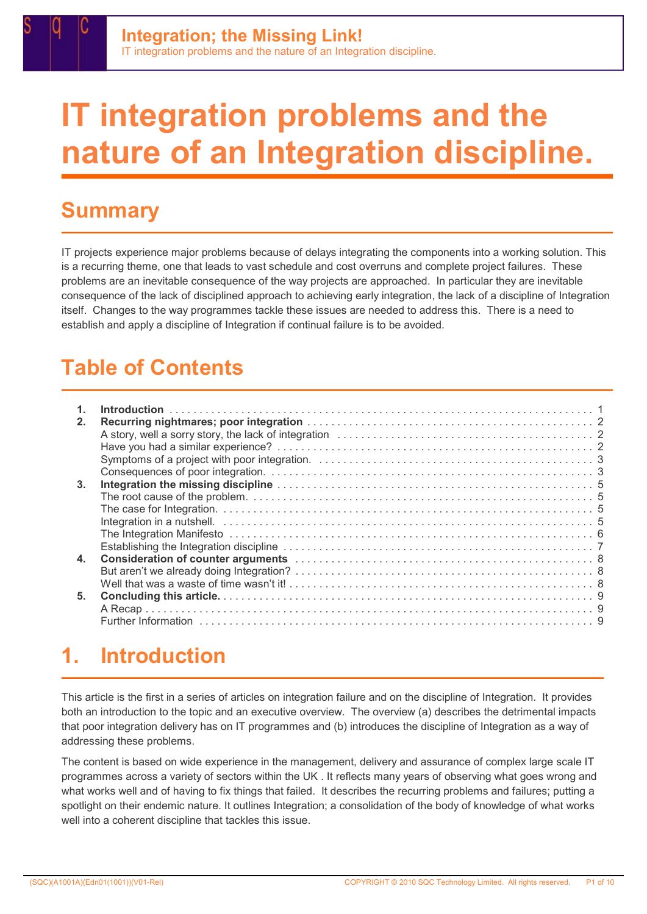# IT integration problems and the nature of an Integration discipline.

# **Summary**

IT projects experience major problems because of delays integrating the components into a working solution. This is a recurring theme, one that leads to vast schedule and cost overruns and complete project failures. These problems are an inevitable consequence of the way projects are approached. In particular they are inevitable consequence of the lack of disciplined approach to achieving early integration, the lack of a discipline of Integration itself. Changes to the way programmes tackle these issues are needed to address this. There is a need to establish and apply a discipline of Integration if continual failure is to be avoided.

# Table of Contents

| 2.             |                                                                                                                |
|----------------|----------------------------------------------------------------------------------------------------------------|
| 3 <sub>1</sub> |                                                                                                                |
|                |                                                                                                                |
|                |                                                                                                                |
|                |                                                                                                                |
|                |                                                                                                                |
|                | Establishing the Integration discipline contained and contained according to the Integration of Technical Bull |
| 4.             |                                                                                                                |
|                |                                                                                                                |
|                |                                                                                                                |
| 5.             |                                                                                                                |
|                |                                                                                                                |
|                |                                                                                                                |
|                |                                                                                                                |

# 1. Introduction

This article is the first in a series of articles on integration failure and on the discipline of Integration. It provides both an introduction to the topic and an executive overview. The overview (a) describes the detrimental impacts that poor integration delivery has on IT programmes and (b) introduces the discipline of Integration as a way of addressing these problems.

The content is based on wide experience in the management, delivery and assurance of complex large scale IT programmes across a variety of sectors within the UK . It reflects many years of observing what goes wrong and what works well and of having to fix things that failed. It describes the recurring problems and failures; putting a spotlight on their endemic nature. It outlines Integration; a consolidation of the body of knowledge of what works well into a coherent discipline that tackles this issue.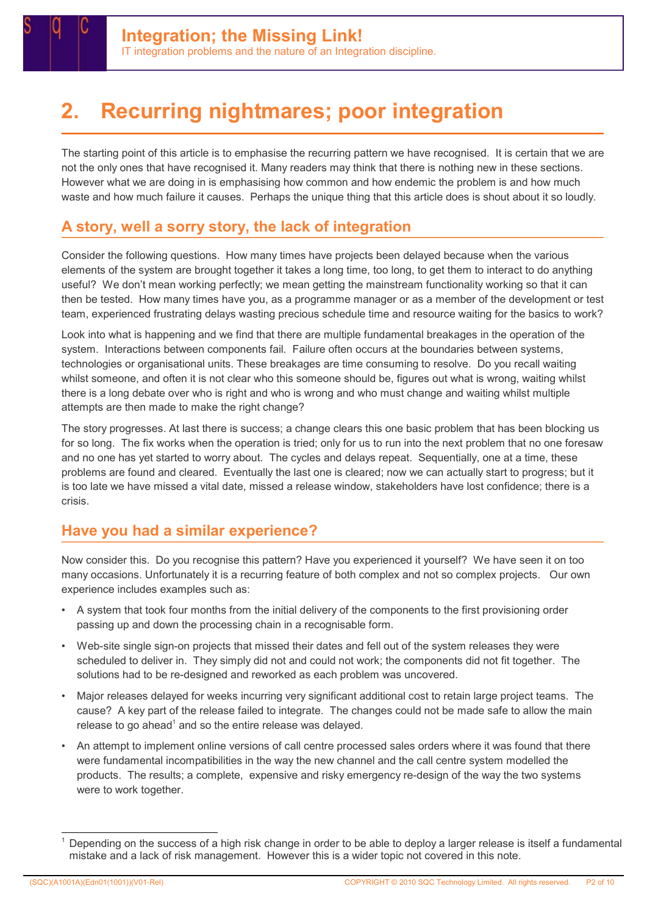# 2. Recurring nightmares; poor integration

The starting point of this article is to emphasise the recurring pattern we have recognised. It is certain that we are not the only ones that have recognised it. Many readers may think that there is nothing new in these sections. However what we are doing in is emphasising how common and how endemic the problem is and how much waste and how much failure it causes. Perhaps the unique thing that this article does is shout about it so loudly.

# A story, well a sorry story, the lack of integration

Consider the following questions. How many times have projects been delayed because when the various elements of the system are brought together it takes a long time, too long, to get them to interact to do anything useful? We don't mean working perfectly; we mean getting the mainstream functionality working so that it can then be tested. How many times have you, as a programme manager or as a member of the development or test team, experienced frustrating delays wasting precious schedule time and resource waiting for the basics to work?

Look into what is happening and we find that there are multiple fundamental breakages in the operation of the system. Interactions between components fail. Failure often occurs at the boundaries between systems, technologies or organisational units. These breakages are time consuming to resolve. Do you recall waiting whilst someone, and often it is not clear who this someone should be, figures out what is wrong, waiting whilst there is a long debate over who is right and who is wrong and who must change and waiting whilst multiple attempts are then made to make the right change?

The story progresses. At last there is success; a change clears this one basic problem that has been blocking us for so long. The fix works when the operation is tried; only for us to run into the next problem that no one foresaw and no one has yet started to worry about. The cycles and delays repeat. Sequentially, one at a time, these problems are found and cleared. Eventually the last one is cleared; now we can actually start to progress; but it is too late we have missed a vital date, missed a release window, stakeholders have lost confidence; there is a crisis.

### Have you had a similar experience?

Now consider this. Do you recognise this pattern? Have you experienced it yourself? We have seen it on too many occasions. Unfortunately it is a recurring feature of both complex and not so complex projects. Our own experience includes examples such as:

- A system that took four months from the initial delivery of the components to the first provisioning order passing up and down the processing chain in a recognisable form.
- Web-site single sign-on projects that missed their dates and fell out of the system releases they were scheduled to deliver in. They simply did not and could not work; the components did not fit together. The solutions had to be re-designed and reworked as each problem was uncovered.
- Major releases delayed for weeks incurring very significant additional cost to retain large project teams. The cause? A key part of the release failed to integrate. The changes could not be made safe to allow the main release to go ahead<sup>1</sup> and so the entire release was delayed.
- An attempt to implement online versions of call centre processed sales orders where it was found that there were fundamental incompatibilities in the way the new channel and the call centre system modelled the products. The results; a complete, expensive and risky emergency re-design of the way the two systems were to work together.

Depending on the success of a high risk change in order to be able to deploy a larger release is itself a fundamental mistake and a lack of risk management. However this is a wider topic not covered in this note.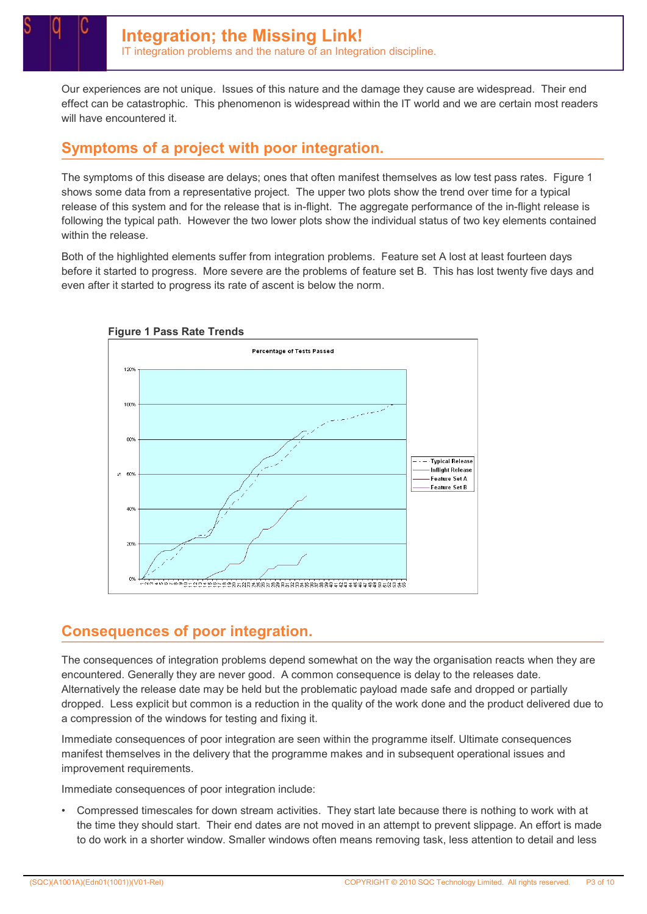Our experiences are not unique. Issues of this nature and the damage they cause are widespread. Their end effect can be catastrophic. This phenomenon is widespread within the IT world and we are certain most readers will have encountered it.

### Symptoms of a project with poor integration.

The symptoms of this disease are delays; ones that often manifest themselves as low test pass rates. Figure 1 shows some data from a representative project. The upper two plots show the trend over time for a typical release of this system and for the release that is in-flight. The aggregate performance of the in-flight release is following the typical path. However the two lower plots show the individual status of two key elements contained within the release.

Both of the highlighted elements suffer from integration problems. Feature set A lost at least fourteen days before it started to progress. More severe are the problems of feature set B. This has lost twenty five days and even after it started to progress its rate of ascent is below the norm.



### Consequences of poor integration.

The consequences of integration problems depend somewhat on the way the organisation reacts when they are encountered. Generally they are never good. A common consequence is delay to the releases date. Alternatively the release date may be held but the problematic payload made safe and dropped or partially dropped. Less explicit but common is a reduction in the quality of the work done and the product delivered due to a compression of the windows for testing and fixing it.

Immediate consequences of poor integration are seen within the programme itself. Ultimate consequences manifest themselves in the delivery that the programme makes and in subsequent operational issues and improvement requirements.

Immediate consequences of poor integration include:

• Compressed timescales for down stream activities. They start late because there is nothing to work with at the time they should start. Their end dates are not moved in an attempt to prevent slippage. An effort is made to do work in a shorter window. Smaller windows often means removing task, less attention to detail and less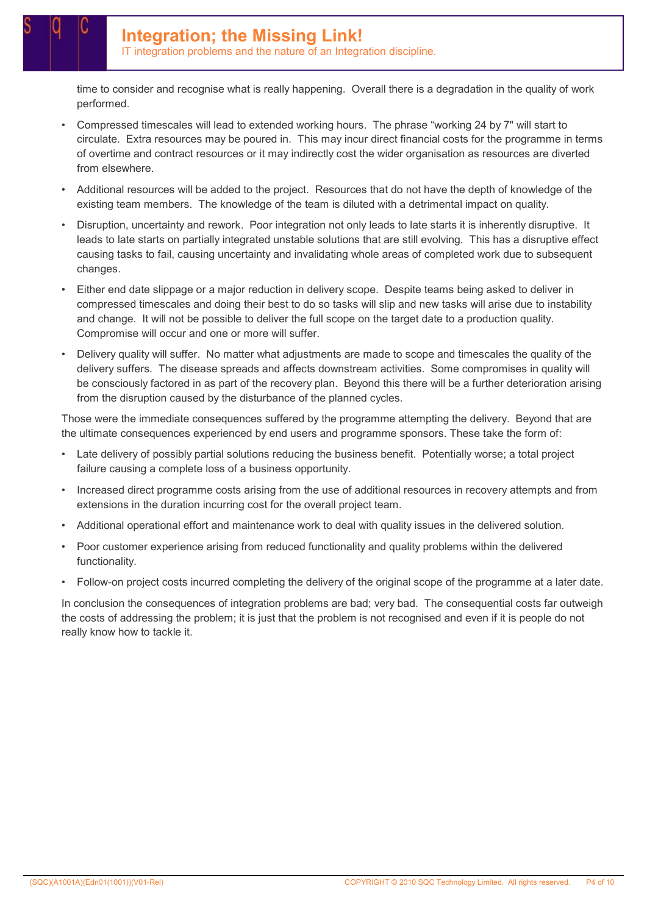IT integration problems and the nature of an Integration discipline.

time to consider and recognise what is really happening. Overall there is a degradation in the quality of work performed.

- Compressed timescales will lead to extended working hours. The phrase "working 24 by 7" will start to circulate. Extra resources may be poured in. This may incur direct financial costs for the programme in terms of overtime and contract resources or it may indirectly cost the wider organisation as resources are diverted from elsewhere.
- Additional resources will be added to the project. Resources that do not have the depth of knowledge of the existing team members. The knowledge of the team is diluted with a detrimental impact on quality.
- Disruption, uncertainty and rework. Poor integration not only leads to late starts it is inherently disruptive. It leads to late starts on partially integrated unstable solutions that are still evolving. This has a disruptive effect causing tasks to fail, causing uncertainty and invalidating whole areas of completed work due to subsequent changes.
- Either end date slippage or a major reduction in delivery scope. Despite teams being asked to deliver in compressed timescales and doing their best to do so tasks will slip and new tasks will arise due to instability and change. It will not be possible to deliver the full scope on the target date to a production quality. Compromise will occur and one or more will suffer.
- Delivery quality will suffer. No matter what adjustments are made to scope and timescales the quality of the delivery suffers. The disease spreads and affects downstream activities. Some compromises in quality will be consciously factored in as part of the recovery plan. Beyond this there will be a further deterioration arising from the disruption caused by the disturbance of the planned cycles.

Those were the immediate consequences suffered by the programme attempting the delivery. Beyond that are the ultimate consequences experienced by end users and programme sponsors. These take the form of:

- Late delivery of possibly partial solutions reducing the business benefit. Potentially worse; a total project failure causing a complete loss of a business opportunity.
- Increased direct programme costs arising from the use of additional resources in recovery attempts and from extensions in the duration incurring cost for the overall project team.
- Additional operational effort and maintenance work to deal with quality issues in the delivered solution.
- Poor customer experience arising from reduced functionality and quality problems within the delivered functionality.
- Follow-on project costs incurred completing the delivery of the original scope of the programme at a later date.

In conclusion the consequences of integration problems are bad; very bad. The consequential costs far outweigh the costs of addressing the problem; it is just that the problem is not recognised and even if it is people do not really know how to tackle it.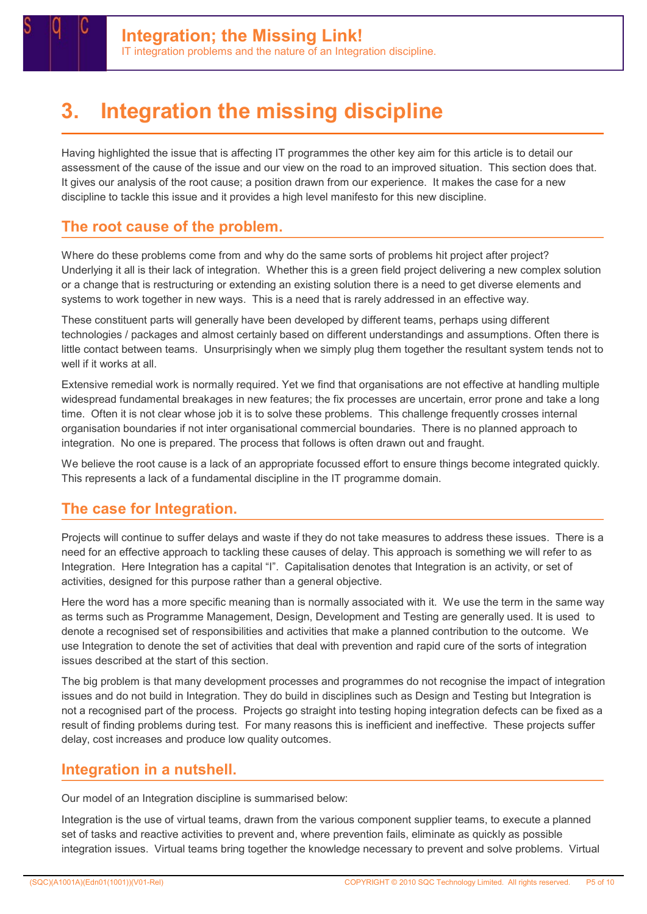

# 3. Integration the missing discipline

Having highlighted the issue that is affecting IT programmes the other key aim for this article is to detail our assessment of the cause of the issue and our view on the road to an improved situation. This section does that. It gives our analysis of the root cause; a position drawn from our experience. It makes the case for a new discipline to tackle this issue and it provides a high level manifesto for this new discipline.

#### The root cause of the problem.

Where do these problems come from and why do the same sorts of problems hit project after project? Underlying it all is their lack of integration. Whether this is a green field project delivering a new complex solution or a change that is restructuring or extending an existing solution there is a need to get diverse elements and systems to work together in new ways. This is a need that is rarely addressed in an effective way.

These constituent parts will generally have been developed by different teams, perhaps using different technologies / packages and almost certainly based on different understandings and assumptions. Often there is little contact between teams. Unsurprisingly when we simply plug them together the resultant system tends not to well if it works at all.

Extensive remedial work is normally required. Yet we find that organisations are not effective at handling multiple widespread fundamental breakages in new features; the fix processes are uncertain, error prone and take a long time. Often it is not clear whose job it is to solve these problems. This challenge frequently crosses internal organisation boundaries if not inter organisational commercial boundaries. There is no planned approach to integration. No one is prepared. The process that follows is often drawn out and fraught.

We believe the root cause is a lack of an appropriate focussed effort to ensure things become integrated quickly. This represents a lack of a fundamental discipline in the IT programme domain.

#### The case for Integration.

Projects will continue to suffer delays and waste if they do not take measures to address these issues. There is a need for an effective approach to tackling these causes of delay. This approach is something we will refer to as Integration. Here Integration has a capital "I". Capitalisation denotes that Integration is an activity, or set of activities, designed for this purpose rather than a general objective.

Here the word has a more specific meaning than is normally associated with it. We use the term in the same way as terms such as Programme Management, Design, Development and Testing are generally used. It is used to denote a recognised set of responsibilities and activities that make a planned contribution to the outcome. We use Integration to denote the set of activities that deal with prevention and rapid cure of the sorts of integration issues described at the start of this section.

The big problem is that many development processes and programmes do not recognise the impact of integration issues and do not build in Integration. They do build in disciplines such as Design and Testing but Integration is not a recognised part of the process. Projects go straight into testing hoping integration defects can be fixed as a result of finding problems during test. For many reasons this is inefficient and ineffective. These projects suffer delay, cost increases and produce low quality outcomes.

#### Integration in a nutshell.

Our model of an Integration discipline is summarised below:

Integration is the use of virtual teams, drawn from the various component supplier teams, to execute a planned set of tasks and reactive activities to prevent and, where prevention fails, eliminate as quickly as possible integration issues. Virtual teams bring together the knowledge necessary to prevent and solve problems. Virtual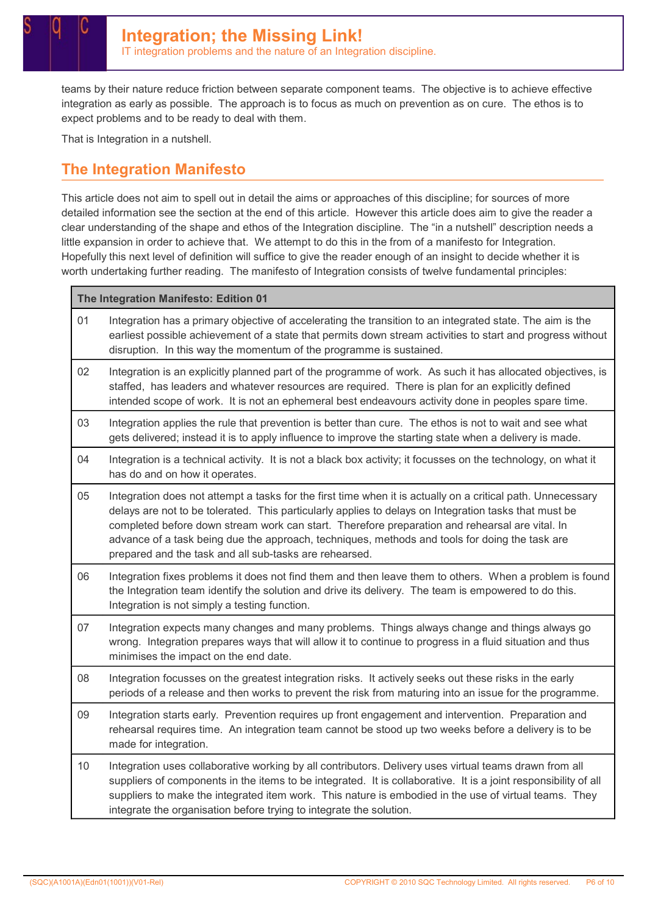teams by their nature reduce friction between separate component teams. The objective is to achieve effective integration as early as possible. The approach is to focus as much on prevention as on cure. The ethos is to expect problems and to be ready to deal with them.

That is Integration in a nutshell.

#### The Integration Manifesto

This article does not aim to spell out in detail the aims or approaches of this discipline; for sources of more detailed information see the section at the end of this article. However this article does aim to give the reader a clear understanding of the shape and ethos of the Integration discipline. The "in a nutshell" description needs a little expansion in order to achieve that. We attempt to do this in the from of a manifesto for Integration. Hopefully this next level of definition will suffice to give the reader enough of an insight to decide whether it is worth undertaking further reading. The manifesto of Integration consists of twelve fundamental principles:

| The Integration Manifesto: Edition 01                                                                                                                                                                                                                                                                                                                                                                                                                                              |  |
|------------------------------------------------------------------------------------------------------------------------------------------------------------------------------------------------------------------------------------------------------------------------------------------------------------------------------------------------------------------------------------------------------------------------------------------------------------------------------------|--|
| Integration has a primary objective of accelerating the transition to an integrated state. The aim is the<br>earliest possible achievement of a state that permits down stream activities to start and progress without<br>disruption. In this way the momentum of the programme is sustained.                                                                                                                                                                                     |  |
| Integration is an explicitly planned part of the programme of work. As such it has allocated objectives, is<br>staffed, has leaders and whatever resources are required. There is plan for an explicitly defined<br>intended scope of work. It is not an ephemeral best endeavours activity done in peoples spare time.                                                                                                                                                            |  |
| Integration applies the rule that prevention is better than cure. The ethos is not to wait and see what<br>gets delivered; instead it is to apply influence to improve the starting state when a delivery is made.                                                                                                                                                                                                                                                                 |  |
| Integration is a technical activity. It is not a black box activity; it focusses on the technology, on what it<br>has do and on how it operates.                                                                                                                                                                                                                                                                                                                                   |  |
| Integration does not attempt a tasks for the first time when it is actually on a critical path. Unnecessary<br>delays are not to be tolerated. This particularly applies to delays on Integration tasks that must be<br>completed before down stream work can start. Therefore preparation and rehearsal are vital. In<br>advance of a task being due the approach, techniques, methods and tools for doing the task are<br>prepared and the task and all sub-tasks are rehearsed. |  |
| Integration fixes problems it does not find them and then leave them to others. When a problem is found<br>the Integration team identify the solution and drive its delivery. The team is empowered to do this.<br>Integration is not simply a testing function.                                                                                                                                                                                                                   |  |
| Integration expects many changes and many problems. Things always change and things always go<br>wrong. Integration prepares ways that will allow it to continue to progress in a fluid situation and thus<br>minimises the impact on the end date.                                                                                                                                                                                                                                |  |
| Integration focusses on the greatest integration risks. It actively seeks out these risks in the early<br>periods of a release and then works to prevent the risk from maturing into an issue for the programme.                                                                                                                                                                                                                                                                   |  |
| Integration starts early. Prevention requires up front engagement and intervention. Preparation and<br>rehearsal requires time. An integration team cannot be stood up two weeks before a delivery is to be<br>made for integration.                                                                                                                                                                                                                                               |  |
| Integration uses collaborative working by all contributors. Delivery uses virtual teams drawn from all<br>suppliers of components in the items to be integrated. It is collaborative. It is a joint responsibility of all<br>suppliers to make the integrated item work. This nature is embodied in the use of virtual teams. They<br>integrate the organisation before trying to integrate the solution.                                                                          |  |
|                                                                                                                                                                                                                                                                                                                                                                                                                                                                                    |  |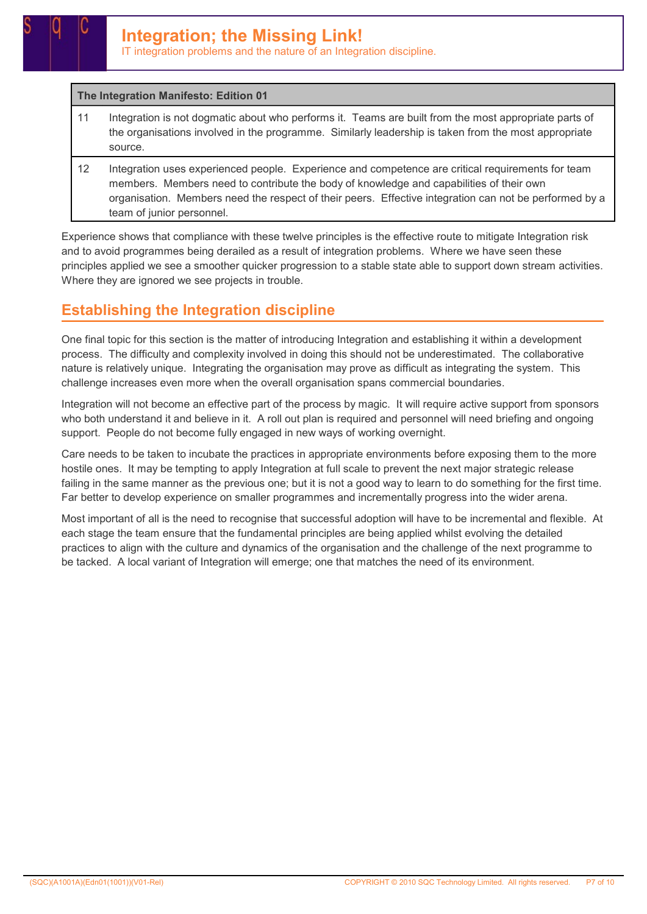IT integration problems and the nature of an Integration discipline.

#### The Integration Manifesto: Edition 01

- 11 Integration is not dogmatic about who performs it. Teams are built from the most appropriate parts of the organisations involved in the programme. Similarly leadership is taken from the most appropriate source.
- 12 Integration uses experienced people. Experience and competence are critical requirements for team members. Members need to contribute the body of knowledge and capabilities of their own organisation. Members need the respect of their peers. Effective integration can not be performed by a team of junior personnel.

Experience shows that compliance with these twelve principles is the effective route to mitigate Integration risk and to avoid programmes being derailed as a result of integration problems. Where we have seen these principles applied we see a smoother quicker progression to a stable state able to support down stream activities. Where they are ignored we see projects in trouble.

### Establishing the Integration discipline

One final topic for this section is the matter of introducing Integration and establishing it within a development process. The difficulty and complexity involved in doing this should not be underestimated. The collaborative nature is relatively unique. Integrating the organisation may prove as difficult as integrating the system. This challenge increases even more when the overall organisation spans commercial boundaries.

Integration will not become an effective part of the process by magic. It will require active support from sponsors who both understand it and believe in it. A roll out plan is required and personnel will need briefing and ongoing support. People do not become fully engaged in new ways of working overnight.

Care needs to be taken to incubate the practices in appropriate environments before exposing them to the more hostile ones. It may be tempting to apply Integration at full scale to prevent the next major strategic release failing in the same manner as the previous one; but it is not a good way to learn to do something for the first time. Far better to develop experience on smaller programmes and incrementally progress into the wider arena.

Most important of all is the need to recognise that successful adoption will have to be incremental and flexible. At each stage the team ensure that the fundamental principles are being applied whilst evolving the detailed practices to align with the culture and dynamics of the organisation and the challenge of the next programme to be tacked. A local variant of Integration will emerge; one that matches the need of its environment.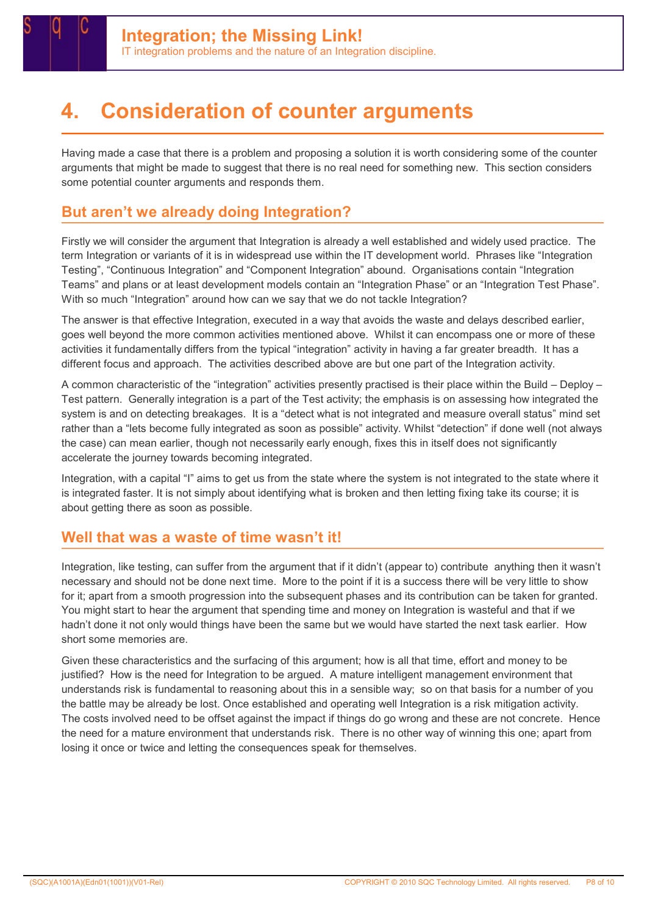

# **Consideration of counter arguments**

Having made a case that there is a problem and proposing a solution it is worth considering some of the counter arguments that might be made to suggest that there is no real need for something new. This section considers some potential counter arguments and responds them.

### But aren't we already doing Integration?

Firstly we will consider the argument that Integration is already a well established and widely used practice. The term Integration or variants of it is in widespread use within the IT development world. Phrases like "Integration Testing", "Continuous Integration" and "Component Integration" abound. Organisations contain "Integration Teams" and plans or at least development models contain an "Integration Phase" or an "Integration Test Phase". With so much "Integration" around how can we say that we do not tackle Integration?

The answer is that effective Integration, executed in a way that avoids the waste and delays described earlier, goes well beyond the more common activities mentioned above. Whilst it can encompass one or more of these activities it fundamentally differs from the typical "integration" activity in having a far greater breadth. It has a different focus and approach. The activities described above are but one part of the Integration activity.

A common characteristic of the "integration" activities presently practised is their place within the Build – Deploy – Test pattern. Generally integration is a part of the Test activity; the emphasis is on assessing how integrated the system is and on detecting breakages. It is a "detect what is not integrated and measure overall status" mind set rather than a "lets become fully integrated as soon as possible" activity. Whilst "detection" if done well (not always the case) can mean earlier, though not necessarily early enough, fixes this in itself does not significantly accelerate the journey towards becoming integrated.

Integration, with a capital "I" aims to get us from the state where the system is not integrated to the state where it is integrated faster. It is not simply about identifying what is broken and then letting fixing take its course; it is about getting there as soon as possible.

### Well that was a waste of time wasn't it!

Integration, like testing, can suffer from the argument that if it didn't (appear to) contribute anything then it wasn't necessary and should not be done next time. More to the point if it is a success there will be very little to show for it; apart from a smooth progression into the subsequent phases and its contribution can be taken for granted. You might start to hear the argument that spending time and money on Integration is wasteful and that if we hadn't done it not only would things have been the same but we would have started the next task earlier. How short some memories are.

Given these characteristics and the surfacing of this argument; how is all that time, effort and money to be justified? How is the need for Integration to be argued. A mature intelligent management environment that understands risk is fundamental to reasoning about this in a sensible way; so on that basis for a number of you the battle may be already be lost. Once established and operating well Integration is a risk mitigation activity. The costs involved need to be offset against the impact if things do go wrong and these are not concrete. Hence the need for a mature environment that understands risk. There is no other way of winning this one; apart from losing it once or twice and letting the consequences speak for themselves.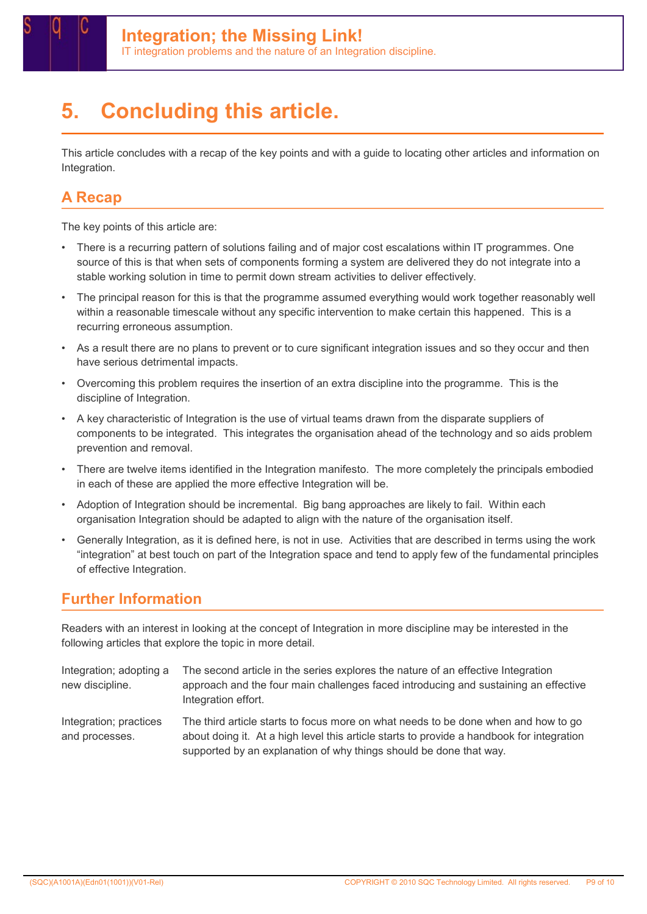# 5. Concluding this article.

This article concludes with a recap of the key points and with a guide to locating other articles and information on Integration.

### A Recap

The key points of this article are:

- There is a recurring pattern of solutions failing and of major cost escalations within IT programmes. One source of this is that when sets of components forming a system are delivered they do not integrate into a stable working solution in time to permit down stream activities to deliver effectively.
- The principal reason for this is that the programme assumed everything would work together reasonably well within a reasonable timescale without any specific intervention to make certain this happened. This is a recurring erroneous assumption.
- As a result there are no plans to prevent or to cure significant integration issues and so they occur and then have serious detrimental impacts.
- Overcoming this problem requires the insertion of an extra discipline into the programme. This is the discipline of Integration.
- A key characteristic of Integration is the use of virtual teams drawn from the disparate suppliers of components to be integrated. This integrates the organisation ahead of the technology and so aids problem prevention and removal.
- There are twelve items identified in the Integration manifesto. The more completely the principals embodied in each of these are applied the more effective Integration will be.
- Adoption of Integration should be incremental. Big bang approaches are likely to fail. Within each organisation Integration should be adapted to align with the nature of the organisation itself.
- Generally Integration, as it is defined here, is not in use. Activities that are described in terms using the work "integration" at best touch on part of the Integration space and tend to apply few of the fundamental principles of effective Integration.

#### Further Information

Readers with an interest in looking at the concept of Integration in more discipline may be interested in the following articles that explore the topic in more detail.

Integration; adopting a new discipline. The second article in the series explores the nature of an effective Integration approach and the four main challenges faced introducing and sustaining an effective Integration effort. Integration; practices and processes. The third article starts to focus more on what needs to be done when and how to go about doing it. At a high level this article starts to provide a handbook for integration supported by an explanation of why things should be done that way.